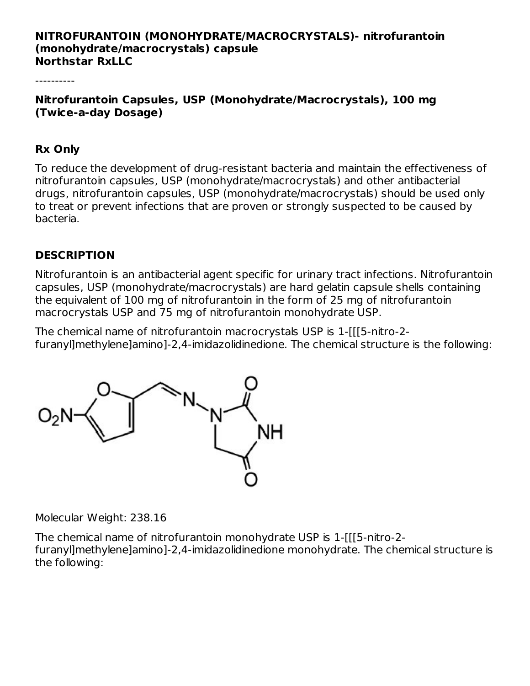#### **NITROFURANTOIN (MONOHYDRATE/MACROCRYSTALS)- nitrofurantoin (monohydrate/macrocrystals) capsule Northstar RxLLC**

----------

**Nitrofurantoin Capsules, USP (Monohydrate/Macrocrystals), 100 mg (Twice-a-day Dosage)**

#### **Rx Only**

To reduce the development of drug-resistant bacteria and maintain the effectiveness of nitrofurantoin capsules, USP (monohydrate/macrocrystals) and other antibacterial drugs, nitrofurantoin capsules, USP (monohydrate/macrocrystals) should be used only to treat or prevent infections that are proven or strongly suspected to be caused by bacteria.

#### **DESCRIPTION**

Nitrofurantoin is an antibacterial agent specific for urinary tract infections. Nitrofurantoin capsules, USP (monohydrate/macrocrystals) are hard gelatin capsule shells containing the equivalent of 100 mg of nitrofurantoin in the form of 25 mg of nitrofurantoin macrocrystals USP and 75 mg of nitrofurantoin monohydrate USP.

The chemical name of nitrofurantoin macrocrystals USP is 1-[[[5-nitro-2 furanyl]methylene]amino]-2,4-imidazolidinedione. The chemical structure is the following:



Molecular Weight: 238.16

The chemical name of nitrofurantoin monohydrate USP is 1-[[[5-nitro-2 furanyl]methylene]amino]-2,4-imidazolidinedione monohydrate. The chemical structure is the following: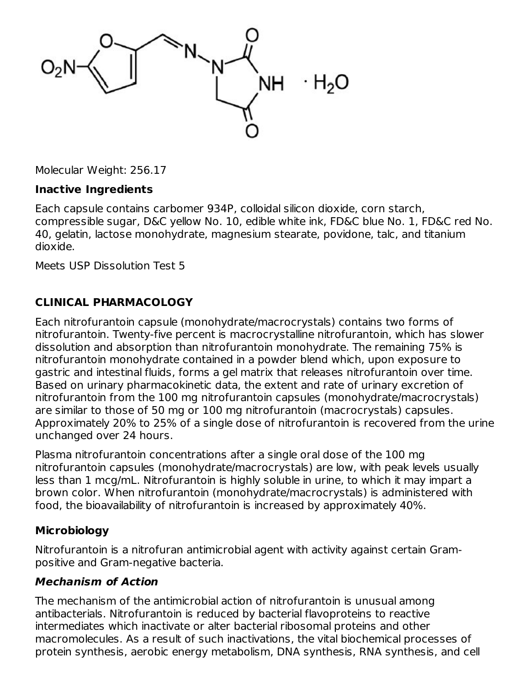

Molecular Weight: 256.17

#### **Inactive Ingredients**

Each capsule contains carbomer 934P, colloidal silicon dioxide, corn starch, compressible sugar, D&C yellow No. 10, edible white ink, FD&C blue No. 1, FD&C red No. 40, gelatin, lactose monohydrate, magnesium stearate, povidone, talc, and titanium dioxide.

Meets USP Dissolution Test 5

### **CLINICAL PHARMACOLOGY**

Each nitrofurantoin capsule (monohydrate/macrocrystals) contains two forms of nitrofurantoin. Twenty-five percent is macrocrystalline nitrofurantoin, which has slower dissolution and absorption than nitrofurantoin monohydrate. The remaining 75% is nitrofurantoin monohydrate contained in a powder blend which, upon exposure to gastric and intestinal fluids, forms a gel matrix that releases nitrofurantoin over time. Based on urinary pharmacokinetic data, the extent and rate of urinary excretion of nitrofurantoin from the 100 mg nitrofurantoin capsules (monohydrate/macrocrystals) are similar to those of 50 mg or 100 mg nitrofurantoin (macrocrystals) capsules. Approximately 20% to 25% of a single dose of nitrofurantoin is recovered from the urine unchanged over 24 hours.

Plasma nitrofurantoin concentrations after a single oral dose of the 100 mg nitrofurantoin capsules (monohydrate/macrocrystals) are low, with peak levels usually less than 1 mcg/mL. Nitrofurantoin is highly soluble in urine, to which it may impart a brown color. When nitrofurantoin (monohydrate/macrocrystals) is administered with food, the bioavailability of nitrofurantoin is increased by approximately 40%.

### **Microbiology**

Nitrofurantoin is a nitrofuran antimicrobial agent with activity against certain Grampositive and Gram-negative bacteria.

#### **Mechanism of Action**

The mechanism of the antimicrobial action of nitrofurantoin is unusual among antibacterials. Nitrofurantoin is reduced by bacterial flavoproteins to reactive intermediates which inactivate or alter bacterial ribosomal proteins and other macromolecules. As a result of such inactivations, the vital biochemical processes of protein synthesis, aerobic energy metabolism, DNA synthesis, RNA synthesis, and cell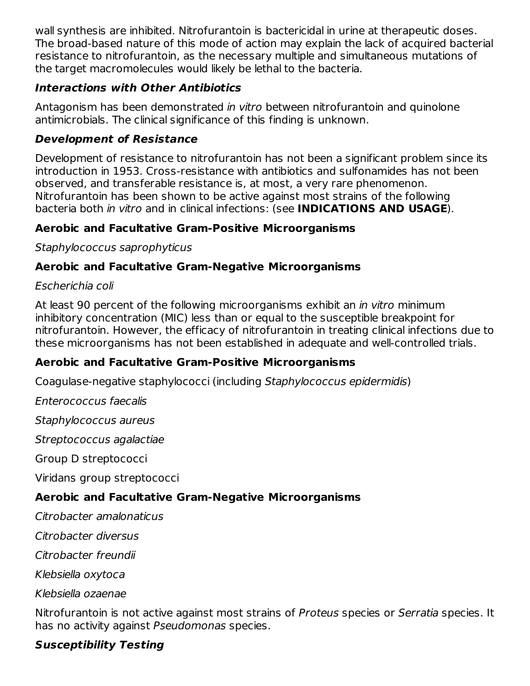wall synthesis are inhibited. Nitrofurantoin is bactericidal in urine at therapeutic doses. The broad-based nature of this mode of action may explain the lack of acquired bacterial resistance to nitrofurantoin, as the necessary multiple and simultaneous mutations of the target macromolecules would likely be lethal to the bacteria.

# **Interactions with Other Antibiotics**

Antagonism has been demonstrated *in vitro* between nitrofurantoin and quinolone antimicrobials. The clinical significance of this finding is unknown.

### **Development of Resistance**

Development of resistance to nitrofurantoin has not been a significant problem since its introduction in 1953. Cross-resistance with antibiotics and sulfonamides has not been observed, and transferable resistance is, at most, a very rare phenomenon. Nitrofurantoin has been shown to be active against most strains of the following bacteria both in vitro and in clinical infections: (see **INDICATIONS AND USAGE**).

# **Aerobic and Facultative Gram-Positive Microorganisms**

Staphylococcus saprophyticus

# **Aerobic and Facultative Gram-Negative Microorganisms**

# Escherichia coli

At least 90 percent of the following microorganisms exhibit an in vitro minimum inhibitory concentration (MIC) less than or equal to the susceptible breakpoint for nitrofurantoin. However, the efficacy of nitrofurantoin in treating clinical infections due to these microorganisms has not been established in adequate and well-controlled trials.

# **Aerobic and Facultative Gram-Positive Microorganisms**

Coagulase-negative staphylococci (including Staphylococcus epidermidis)

Enterococcus faecalis

Staphylococcus aureus

Streptococcus agalactiae

Group D streptococci

Viridans group streptococci

# **Aerobic and Facultative Gram-Negative Microorganisms**

Citrobacter amalonaticus

Citrobacter diversus

Citrobacter freundii

Klebsiella oxytoca

Klebsiella ozaenae

Nitrofurantoin is not active against most strains of Proteus species or Serratia species. It has no activity against Pseudomonas species.

# **Susceptibility Testing**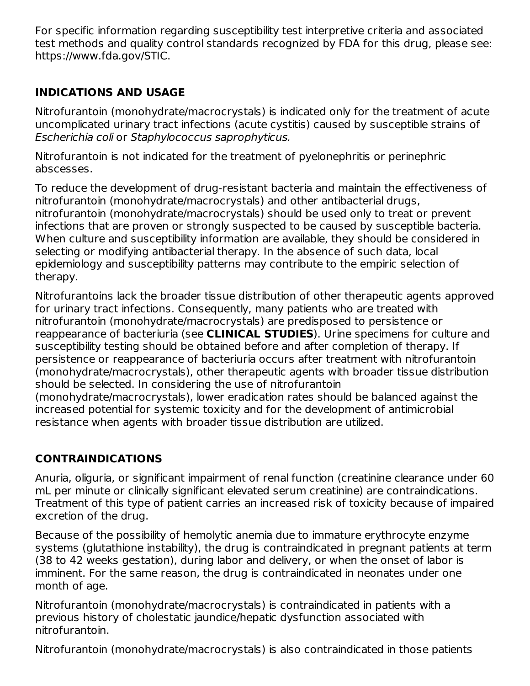For specific information regarding susceptibility test interpretive criteria and associated test methods and quality control standards recognized by FDA for this drug, please see: https://www.fda.gov/STIC.

# **INDICATIONS AND USAGE**

Nitrofurantoin (monohydrate/macrocrystals) is indicated only for the treatment of acute uncomplicated urinary tract infections (acute cystitis) caused by susceptible strains of Escherichia coli or Staphylococcus saprophyticus.

Nitrofurantoin is not indicated for the treatment of pyelonephritis or perinephric abscesses.

To reduce the development of drug-resistant bacteria and maintain the effectiveness of nitrofurantoin (monohydrate/macrocrystals) and other antibacterial drugs, nitrofurantoin (monohydrate/macrocrystals) should be used only to treat or prevent infections that are proven or strongly suspected to be caused by susceptible bacteria. When culture and susceptibility information are available, they should be considered in selecting or modifying antibacterial therapy. In the absence of such data, local epidemiology and susceptibility patterns may contribute to the empiric selection of therapy.

Nitrofurantoins lack the broader tissue distribution of other therapeutic agents approved for urinary tract infections. Consequently, many patients who are treated with nitrofurantoin (monohydrate/macrocrystals) are predisposed to persistence or reappearance of bacteriuria (see **CLINICAL STUDIES**). Urine specimens for culture and susceptibility testing should be obtained before and after completion of therapy. If persistence or reappearance of bacteriuria occurs after treatment with nitrofurantoin (monohydrate/macrocrystals), other therapeutic agents with broader tissue distribution should be selected. In considering the use of nitrofurantoin (monohydrate/macrocrystals), lower eradication rates should be balanced against the increased potential for systemic toxicity and for the development of antimicrobial

resistance when agents with broader tissue distribution are utilized.

# **CONTRAINDICATIONS**

Anuria, oliguria, or significant impairment of renal function (creatinine clearance under 60 mL per minute or clinically significant elevated serum creatinine) are contraindications. Treatment of this type of patient carries an increased risk of toxicity because of impaired excretion of the drug.

Because of the possibility of hemolytic anemia due to immature erythrocyte enzyme systems (glutathione instability), the drug is contraindicated in pregnant patients at term (38 to 42 weeks gestation), during labor and delivery, or when the onset of labor is imminent. For the same reason, the drug is contraindicated in neonates under one month of age.

Nitrofurantoin (monohydrate/macrocrystals) is contraindicated in patients with a previous history of cholestatic jaundice/hepatic dysfunction associated with nitrofurantoin.

Nitrofurantoin (monohydrate/macrocrystals) is also contraindicated in those patients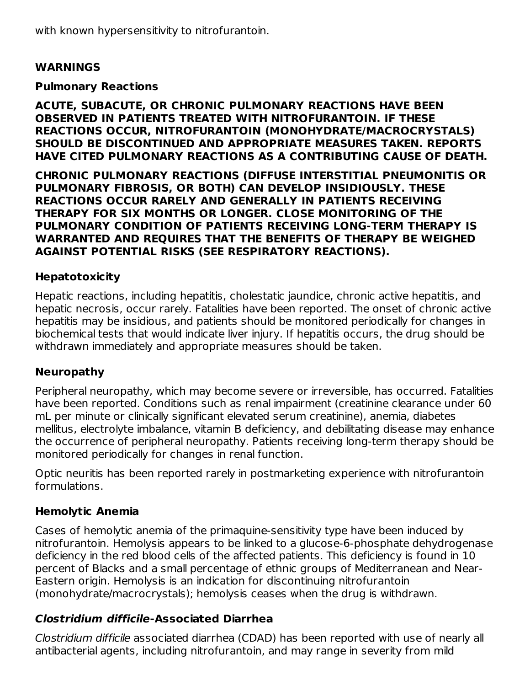with known hypersensitivity to nitrofurantoin.

#### **WARNINGS**

#### **Pulmonary Reactions**

**ACUTE, SUBACUTE, OR CHRONIC PULMONARY REACTIONS HAVE BEEN OBSERVED IN PATIENTS TREATED WITH NITROFURANTOIN. IF THESE REACTIONS OCCUR, NITROFURANTOIN (MONOHYDRATE/MACROCRYSTALS) SHOULD BE DISCONTINUED AND APPROPRIATE MEASURES TAKEN. REPORTS HAVE CITED PULMONARY REACTIONS AS A CONTRIBUTING CAUSE OF DEATH.**

**CHRONIC PULMONARY REACTIONS (DIFFUSE INTERSTITIAL PNEUMONITIS OR PULMONARY FIBROSIS, OR BOTH) CAN DEVELOP INSIDIOUSLY. THESE REACTIONS OCCUR RARELY AND GENERALLY IN PATIENTS RECEIVING THERAPY FOR SIX MONTHS OR LONGER. CLOSE MONITORING OF THE PULMONARY CONDITION OF PATIENTS RECEIVING LONG-TERM THERAPY IS WARRANTED AND REQUIRES THAT THE BENEFITS OF THERAPY BE WEIGHED AGAINST POTENTIAL RISKS (SEE RESPIRATORY REACTIONS).**

#### **Hepatotoxicity**

Hepatic reactions, including hepatitis, cholestatic jaundice, chronic active hepatitis, and hepatic necrosis, occur rarely. Fatalities have been reported. The onset of chronic active hepatitis may be insidious, and patients should be monitored periodically for changes in biochemical tests that would indicate liver injury. If hepatitis occurs, the drug should be withdrawn immediately and appropriate measures should be taken.

#### **Neuropathy**

Peripheral neuropathy, which may become severe or irreversible, has occurred. Fatalities have been reported. Conditions such as renal impairment (creatinine clearance under 60 mL per minute or clinically significant elevated serum creatinine), anemia, diabetes mellitus, electrolyte imbalance, vitamin B deficiency, and debilitating disease may enhance the occurrence of peripheral neuropathy. Patients receiving long-term therapy should be monitored periodically for changes in renal function.

Optic neuritis has been reported rarely in postmarketing experience with nitrofurantoin formulations.

#### **Hemolytic Anemia**

Cases of hemolytic anemia of the primaquine-sensitivity type have been induced by nitrofurantoin. Hemolysis appears to be linked to a glucose-6-phosphate dehydrogenase deficiency in the red blood cells of the affected patients. This deficiency is found in 10 percent of Blacks and a small percentage of ethnic groups of Mediterranean and Near-Eastern origin. Hemolysis is an indication for discontinuing nitrofurantoin (monohydrate/macrocrystals); hemolysis ceases when the drug is withdrawn.

#### **Clostridium difficile-Associated Diarrhea**

Clostridium difficile associated diarrhea (CDAD) has been reported with use of nearly all antibacterial agents, including nitrofurantoin, and may range in severity from mild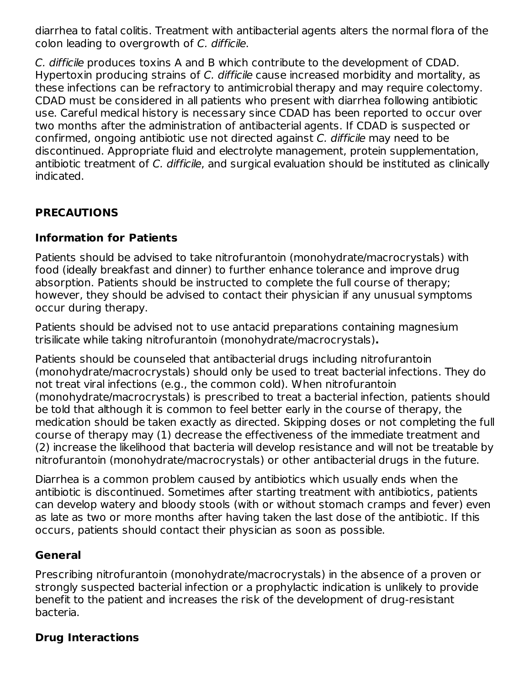diarrhea to fatal colitis. Treatment with antibacterial agents alters the normal flora of the colon leading to overgrowth of C. difficile.

C. difficile produces toxins A and B which contribute to the development of CDAD. Hypertoxin producing strains of C. difficile cause increased morbidity and mortality, as these infections can be refractory to antimicrobial therapy and may require colectomy. CDAD must be considered in all patients who present with diarrhea following antibiotic use. Careful medical history is necessary since CDAD has been reported to occur over two months after the administration of antibacterial agents. If CDAD is suspected or confirmed, ongoing antibiotic use not directed against C. difficile may need to be discontinued. Appropriate fluid and electrolyte management, protein supplementation, antibiotic treatment of C. difficile, and surgical evaluation should be instituted as clinically indicated.

# **PRECAUTIONS**

### **Information for Patients**

Patients should be advised to take nitrofurantoin (monohydrate/macrocrystals) with food (ideally breakfast and dinner) to further enhance tolerance and improve drug absorption. Patients should be instructed to complete the full course of therapy; however, they should be advised to contact their physician if any unusual symptoms occur during therapy.

Patients should be advised not to use antacid preparations containing magnesium trisilicate while taking nitrofurantoin (monohydrate/macrocrystals)**.**

Patients should be counseled that antibacterial drugs including nitrofurantoin (monohydrate/macrocrystals) should only be used to treat bacterial infections. They do not treat viral infections (e.g., the common cold). When nitrofurantoin (monohydrate/macrocrystals) is prescribed to treat a bacterial infection, patients should be told that although it is common to feel better early in the course of therapy, the medication should be taken exactly as directed. Skipping doses or not completing the full course of therapy may (1) decrease the effectiveness of the immediate treatment and (2) increase the likelihood that bacteria will develop resistance and will not be treatable by nitrofurantoin (monohydrate/macrocrystals) or other antibacterial drugs in the future.

Diarrhea is a common problem caused by antibiotics which usually ends when the antibiotic is discontinued. Sometimes after starting treatment with antibiotics, patients can develop watery and bloody stools (with or without stomach cramps and fever) even as late as two or more months after having taken the last dose of the antibiotic. If this occurs, patients should contact their physician as soon as possible.

### **General**

Prescribing nitrofurantoin (monohydrate/macrocrystals) in the absence of a proven or strongly suspected bacterial infection or a prophylactic indication is unlikely to provide benefit to the patient and increases the risk of the development of drug-resistant bacteria.

### **Drug Interactions**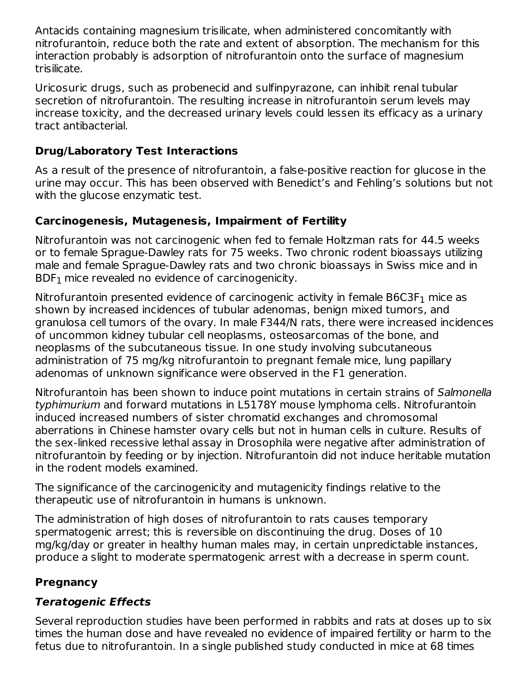Antacids containing magnesium trisilicate, when administered concomitantly with nitrofurantoin, reduce both the rate and extent of absorption. The mechanism for this interaction probably is adsorption of nitrofurantoin onto the surface of magnesium trisilicate.

Uricosuric drugs, such as probenecid and sulfinpyrazone, can inhibit renal tubular secretion of nitrofurantoin. The resulting increase in nitrofurantoin serum levels may increase toxicity, and the decreased urinary levels could lessen its efficacy as a urinary tract antibacterial.

# **Drug/Laboratory Test Interactions**

As a result of the presence of nitrofurantoin, a false-positive reaction for glucose in the urine may occur. This has been observed with Benedict's and Fehling's solutions but not with the glucose enzymatic test.

# **Carcinogenesis, Mutagenesis, Impairment of Fertility**

Nitrofurantoin was not carcinogenic when fed to female Holtzman rats for 44.5 weeks or to female Sprague-Dawley rats for 75 weeks. Two chronic rodent bioassays utilizing male and female Sprague-Dawley rats and two chronic bioassays in Swiss mice and in  $\mathsf{BDF}_1$  mice revealed no evidence of carcinogenicity.

Nitrofurantoin presented evidence of carcinogenic activity in female  $\mathsf{B6C3F}_1$  mice as shown by increased incidences of tubular adenomas, benign mixed tumors, and granulosa cell tumors of the ovary. In male F344/N rats, there were increased incidences of uncommon kidney tubular cell neoplasms, osteosarcomas of the bone, and neoplasms of the subcutaneous tissue. In one study involving subcutaneous administration of 75 mg/kg nitrofurantoin to pregnant female mice, lung papillary adenomas of unknown significance were observed in the F1 generation.

Nitrofurantoin has been shown to induce point mutations in certain strains of Salmonella typhimurium and forward mutations in L5178Y mouse lymphoma cells. Nitrofurantoin induced increased numbers of sister chromatid exchanges and chromosomal aberrations in Chinese hamster ovary cells but not in human cells in culture. Results of the sex-linked recessive lethal assay in Drosophila were negative after administration of nitrofurantoin by feeding or by injection. Nitrofurantoin did not induce heritable mutation in the rodent models examined.

The significance of the carcinogenicity and mutagenicity findings relative to the therapeutic use of nitrofurantoin in humans is unknown.

The administration of high doses of nitrofurantoin to rats causes temporary spermatogenic arrest; this is reversible on discontinuing the drug. Doses of 10 mg/kg/day or greater in healthy human males may, in certain unpredictable instances, produce a slight to moderate spermatogenic arrest with a decrease in sperm count.

# **Pregnancy**

# **Teratogenic Effects**

Several reproduction studies have been performed in rabbits and rats at doses up to six times the human dose and have revealed no evidence of impaired fertility or harm to the fetus due to nitrofurantoin. In a single published study conducted in mice at 68 times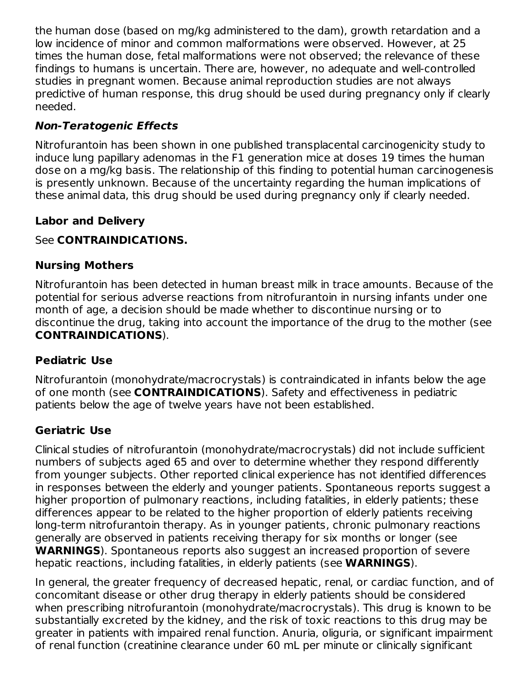the human dose (based on mg/kg administered to the dam), growth retardation and a low incidence of minor and common malformations were observed. However, at 25 times the human dose, fetal malformations were not observed; the relevance of these findings to humans is uncertain. There are, however, no adequate and well-controlled studies in pregnant women. Because animal reproduction studies are not always predictive of human response, this drug should be used during pregnancy only if clearly needed.

# **Non-Teratogenic Effects**

Nitrofurantoin has been shown in one published transplacental carcinogenicity study to induce lung papillary adenomas in the F1 generation mice at doses 19 times the human dose on a mg/kg basis. The relationship of this finding to potential human carcinogenesis is presently unknown. Because of the uncertainty regarding the human implications of these animal data, this drug should be used during pregnancy only if clearly needed.

# **Labor and Delivery**

### See **CONTRAINDICATIONS.**

### **Nursing Mothers**

Nitrofurantoin has been detected in human breast milk in trace amounts. Because of the potential for serious adverse reactions from nitrofurantoin in nursing infants under one month of age, a decision should be made whether to discontinue nursing or to discontinue the drug, taking into account the importance of the drug to the mother (see **CONTRAINDICATIONS**).

### **Pediatric Use**

Nitrofurantoin (monohydrate/macrocrystals) is contraindicated in infants below the age of one month (see **CONTRAINDICATIONS**). Safety and effectiveness in pediatric patients below the age of twelve years have not been established.

### **Geriatric Use**

Clinical studies of nitrofurantoin (monohydrate/macrocrystals) did not include sufficient numbers of subjects aged 65 and over to determine whether they respond differently from younger subjects. Other reported clinical experience has not identified differences in responses between the elderly and younger patients. Spontaneous reports suggest a higher proportion of pulmonary reactions, including fatalities, in elderly patients; these differences appear to be related to the higher proportion of elderly patients receiving long-term nitrofurantoin therapy. As in younger patients, chronic pulmonary reactions generally are observed in patients receiving therapy for six months or longer (see **WARNINGS**). Spontaneous reports also suggest an increased proportion of severe hepatic reactions, including fatalities, in elderly patients (see **WARNINGS**).

In general, the greater frequency of decreased hepatic, renal, or cardiac function, and of concomitant disease or other drug therapy in elderly patients should be considered when prescribing nitrofurantoin (monohydrate/macrocrystals). This drug is known to be substantially excreted by the kidney, and the risk of toxic reactions to this drug may be greater in patients with impaired renal function. Anuria, oliguria, or significant impairment of renal function (creatinine clearance under 60 mL per minute or clinically significant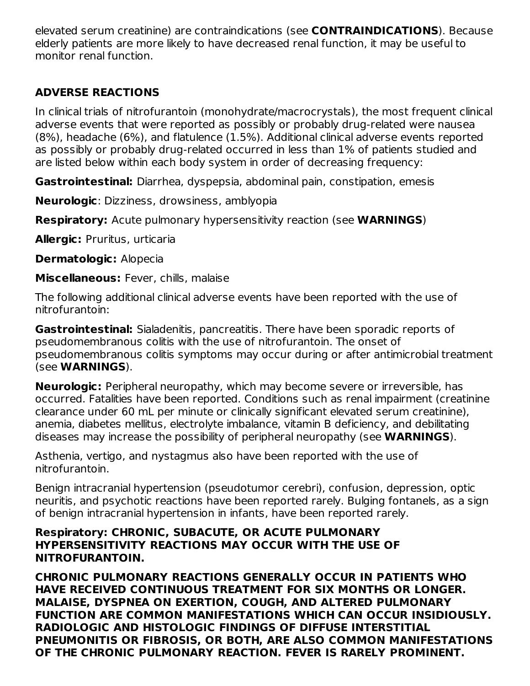elevated serum creatinine) are contraindications (see **CONTRAINDICATIONS**). Because elderly patients are more likely to have decreased renal function, it may be useful to monitor renal function.

# **ADVERSE REACTIONS**

In clinical trials of nitrofurantoin (monohydrate/macrocrystals), the most frequent clinical adverse events that were reported as possibly or probably drug-related were nausea (8%), headache (6%), and flatulence (1.5%). Additional clinical adverse events reported as possibly or probably drug-related occurred in less than 1% of patients studied and are listed below within each body system in order of decreasing frequency:

**Gastrointestinal:** Diarrhea, dyspepsia, abdominal pain, constipation, emesis

**Neurologic**: Dizziness, drowsiness, amblyopia

**Respiratory:** Acute pulmonary hypersensitivity reaction (see **WARNINGS**)

**Allergic:** Pruritus, urticaria

**Dermatologic:** Alopecia

**Miscellaneous:** Fever, chills, malaise

The following additional clinical adverse events have been reported with the use of nitrofurantoin:

**Gastrointestinal:** Sialadenitis, pancreatitis. There have been sporadic reports of pseudomembranous colitis with the use of nitrofurantoin. The onset of pseudomembranous colitis symptoms may occur during or after antimicrobial treatment (see **WARNINGS**).

**Neurologic:** Peripheral neuropathy, which may become severe or irreversible, has occurred. Fatalities have been reported. Conditions such as renal impairment (creatinine clearance under 60 mL per minute or clinically significant elevated serum creatinine), anemia, diabetes mellitus, electrolyte imbalance, vitamin B deficiency, and debilitating diseases may increase the possibility of peripheral neuropathy (see **WARNINGS**).

Asthenia, vertigo, and nystagmus also have been reported with the use of nitrofurantoin.

Benign intracranial hypertension (pseudotumor cerebri), confusion, depression, optic neuritis, and psychotic reactions have been reported rarely. Bulging fontanels, as a sign of benign intracranial hypertension in infants, have been reported rarely.

#### **Respiratory: CHRONIC, SUBACUTE, OR ACUTE PULMONARY HYPERSENSITIVITY REACTIONS MAY OCCUR WITH THE USE OF NITROFURANTOIN.**

**CHRONIC PULMONARY REACTIONS GENERALLY OCCUR IN PATIENTS WHO HAVE RECEIVED CONTINUOUS TREATMENT FOR SIX MONTHS OR LONGER. MALAISE, DYSPNEA ON EXERTION, COUGH, AND ALTERED PULMONARY FUNCTION ARE COMMON MANIFESTATIONS WHICH CAN OCCUR INSIDIOUSLY. RADIOLOGIC AND HISTOLOGIC FINDINGS OF DIFFUSE INTERSTITIAL PNEUMONITIS OR FIBROSIS, OR BOTH, ARE ALSO COMMON MANIFESTATIONS OF THE CHRONIC PULMONARY REACTION. FEVER IS RARELY PROMINENT.**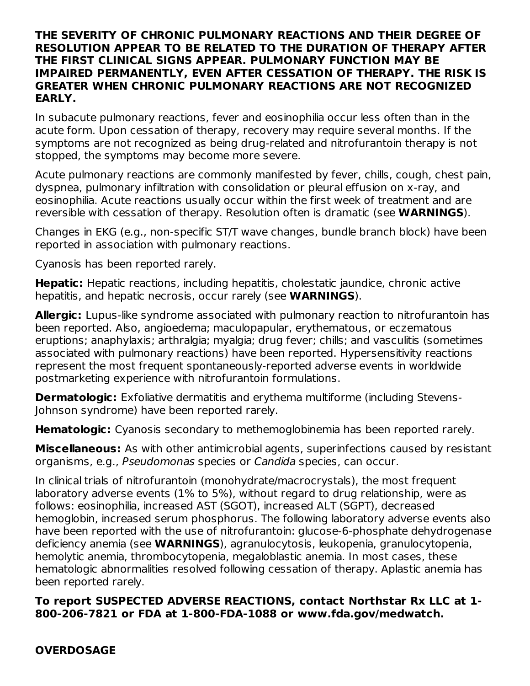#### **THE SEVERITY OF CHRONIC PULMONARY REACTIONS AND THEIR DEGREE OF RESOLUTION APPEAR TO BE RELATED TO THE DURATION OF THERAPY AFTER THE FIRST CLINICAL SIGNS APPEAR. PULMONARY FUNCTION MAY BE IMPAIRED PERMANENTLY, EVEN AFTER CESSATION OF THERAPY. THE RISK IS GREATER WHEN CHRONIC PULMONARY REACTIONS ARE NOT RECOGNIZED EARLY.**

In subacute pulmonary reactions, fever and eosinophilia occur less often than in the acute form. Upon cessation of therapy, recovery may require several months. If the symptoms are not recognized as being drug-related and nitrofurantoin therapy is not stopped, the symptoms may become more severe.

Acute pulmonary reactions are commonly manifested by fever, chills, cough, chest pain, dyspnea, pulmonary infiltration with consolidation or pleural effusion on x-ray, and eosinophilia. Acute reactions usually occur within the first week of treatment and are reversible with cessation of therapy. Resolution often is dramatic (see **WARNINGS**).

Changes in EKG (e.g., non-specific ST/T wave changes, bundle branch block) have been reported in association with pulmonary reactions.

Cyanosis has been reported rarely.

**Hepatic:** Hepatic reactions, including hepatitis, cholestatic jaundice, chronic active hepatitis, and hepatic necrosis, occur rarely (see **WARNINGS**).

**Allergic:** Lupus-like syndrome associated with pulmonary reaction to nitrofurantoin has been reported. Also, angioedema; maculopapular, erythematous, or eczematous eruptions; anaphylaxis; arthralgia; myalgia; drug fever; chills; and vasculitis (sometimes associated with pulmonary reactions) have been reported. Hypersensitivity reactions represent the most frequent spontaneously-reported adverse events in worldwide postmarketing experience with nitrofurantoin formulations.

**Dermatologic:** Exfoliative dermatitis and erythema multiforme (including Stevens-Johnson syndrome) have been reported rarely.

**Hematologic:** Cyanosis secondary to methemoglobinemia has been reported rarely.

**Miscellaneous:** As with other antimicrobial agents, superinfections caused by resistant organisms, e.g., Pseudomonas species or Candida species, can occur.

In clinical trials of nitrofurantoin (monohydrate/macrocrystals), the most frequent laboratory adverse events (1% to 5%), without regard to drug relationship, were as follows: eosinophilia, increased AST (SGOT), increased ALT (SGPT), decreased hemoglobin, increased serum phosphorus. The following laboratory adverse events also have been reported with the use of nitrofurantoin: glucose-6-phosphate dehydrogenase deficiency anemia (see **WARNINGS**), agranulocytosis, leukopenia, granulocytopenia, hemolytic anemia, thrombocytopenia, megaloblastic anemia. In most cases, these hematologic abnormalities resolved following cessation of therapy. Aplastic anemia has been reported rarely.

#### **To report SUSPECTED ADVERSE REACTIONS, contact Northstar Rx LLC at 1- 800-206-7821 or FDA at 1-800-FDA-1088 or www.fda.gov/medwatch.**

**OVERDOSAGE**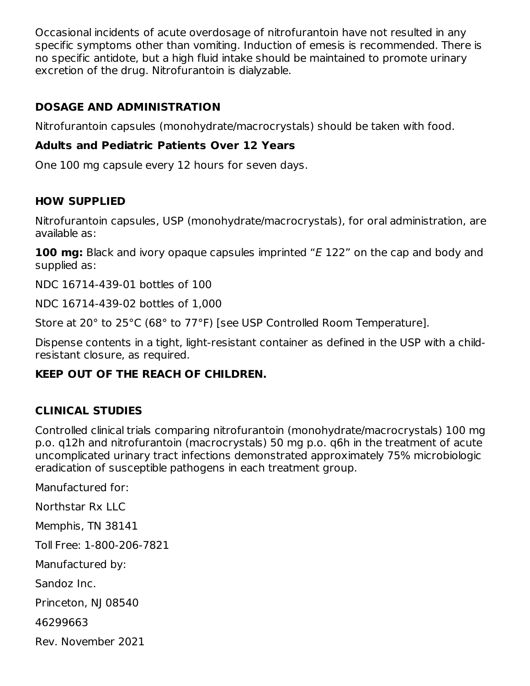Occasional incidents of acute overdosage of nitrofurantoin have not resulted in any specific symptoms other than vomiting. Induction of emesis is recommended. There is no specific antidote, but a high fluid intake should be maintained to promote urinary excretion of the drug. Nitrofurantoin is dialyzable.

### **DOSAGE AND ADMINISTRATION**

Nitrofurantoin capsules (monohydrate/macrocrystals) should be taken with food.

### **Adults and Pediatric Patients Over 12 Years**

One 100 mg capsule every 12 hours for seven days.

#### **HOW SUPPLIED**

Nitrofurantoin capsules, USP (monohydrate/macrocrystals), for oral administration, are available as:

**100 mg:** Black and ivory opaque capsules imprinted "E 122" on the cap and body and supplied as:

NDC 16714-439-01 bottles of 100

NDC 16714-439-02 bottles of 1,000

Store at 20° to 25°C (68° to 77°F) [see USP Controlled Room Temperature].

Dispense contents in a tight, light-resistant container as defined in the USP with a childresistant closure, as required.

### **KEEP OUT OF THE REACH OF CHILDREN.**

### **CLINICAL STUDIES**

Controlled clinical trials comparing nitrofurantoin (monohydrate/macrocrystals) 100 mg p.o. q12h and nitrofurantoin (macrocrystals) 50 mg p.o. q6h in the treatment of acute uncomplicated urinary tract infections demonstrated approximately 75% microbiologic eradication of susceptible pathogens in each treatment group.

Manufactured for:

Northstar Rx LLC

Memphis, TN 38141

Toll Free: 1-800-206-7821

Manufactured by:

Sandoz Inc.

Princeton, NJ 08540

46299663

Rev. November 2021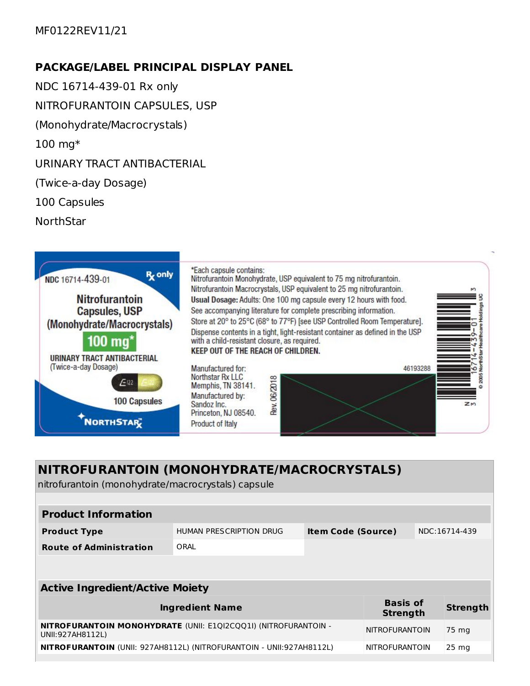#### **PACKAGE/LABEL PRINCIPAL DISPLAY PANEL**

NDC 16714-439-01 Rx only NITROFURANTOIN CAPSULES, USP (Monohydrate/Macrocrystals) 100 mg\* URINARY TRACT ANTIBACTERIAL (Twice-a-day Dosage) 100 Capsules NorthStar



| NITROFURANTOIN (MONOHYDRATE/MACROCRYSTALS)                                          |                         |                                    |                       |               |                 |  |  |  |
|-------------------------------------------------------------------------------------|-------------------------|------------------------------------|-----------------------|---------------|-----------------|--|--|--|
| nitrofurantoin (monohydrate/macrocrystals) capsule                                  |                         |                                    |                       |               |                 |  |  |  |
|                                                                                     |                         |                                    |                       |               |                 |  |  |  |
| <b>Product Information</b>                                                          |                         |                                    |                       |               |                 |  |  |  |
| <b>Product Type</b>                                                                 | HUMAN PRESCRIPTION DRUG | <b>Item Code (Source)</b>          |                       | NDC:16714-439 |                 |  |  |  |
| <b>Route of Administration</b>                                                      | ORAI                    |                                    |                       |               |                 |  |  |  |
|                                                                                     |                         |                                    |                       |               |                 |  |  |  |
|                                                                                     |                         |                                    |                       |               |                 |  |  |  |
| <b>Active Ingredient/Active Moiety</b>                                              |                         |                                    |                       |               |                 |  |  |  |
| Ingredient Name                                                                     |                         | <b>Basis of</b><br><b>Strength</b> |                       | Strength      |                 |  |  |  |
| NITROFURANTOIN MONOHYDRATE (UNII: E10I2C001I) (NITROFURANTOIN -<br>UNII:927AH8112L) |                         |                                    | <b>NITROFURANTOIN</b> |               | 75 mg           |  |  |  |
| <b>NITROFURANTOIN</b> (UNII: 927AH8112L) (NITROFURANTOIN - UNII:927AH8112L)         |                         |                                    | <b>NITROFURANTOIN</b> |               | $25 \text{ mg}$ |  |  |  |
|                                                                                     |                         |                                    |                       |               |                 |  |  |  |